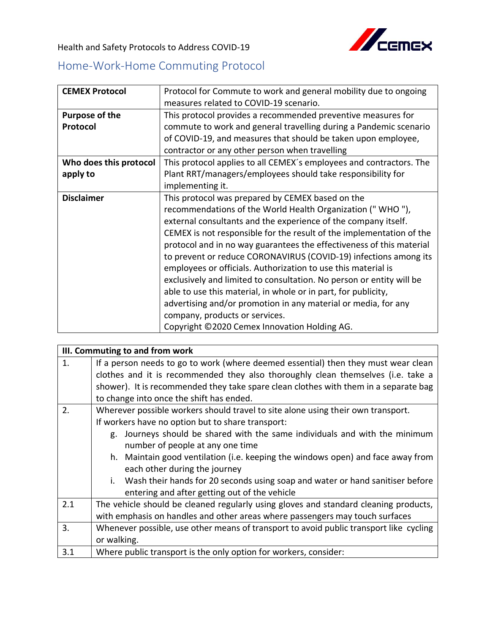Health and Safety Protocols to Address COVID-19



## Home-Work-Home Commuting Protocol

| <b>CEMEX Protocol</b>             | Protocol for Commute to work and general mobility due to ongoing<br>measures related to COVID-19 scenario.                                                                                                                                                                                                                                                                                                                                                                                                                                                                                                                                                                                                                                                         |
|-----------------------------------|--------------------------------------------------------------------------------------------------------------------------------------------------------------------------------------------------------------------------------------------------------------------------------------------------------------------------------------------------------------------------------------------------------------------------------------------------------------------------------------------------------------------------------------------------------------------------------------------------------------------------------------------------------------------------------------------------------------------------------------------------------------------|
| <b>Purpose of the</b><br>Protocol | This protocol provides a recommended preventive measures for<br>commute to work and general travelling during a Pandemic scenario<br>of COVID-19, and measures that should be taken upon employee,<br>contractor or any other person when travelling                                                                                                                                                                                                                                                                                                                                                                                                                                                                                                               |
| Who does this protocol            | This protocol applies to all CEMEX's employees and contractors. The                                                                                                                                                                                                                                                                                                                                                                                                                                                                                                                                                                                                                                                                                                |
| apply to                          | Plant RRT/managers/employees should take responsibility for<br>implementing it.                                                                                                                                                                                                                                                                                                                                                                                                                                                                                                                                                                                                                                                                                    |
| <b>Disclaimer</b>                 | This protocol was prepared by CEMEX based on the<br>recommendations of the World Health Organization ("WHO"),<br>external consultants and the experience of the company itself.<br>CEMEX is not responsible for the result of the implementation of the<br>protocol and in no way guarantees the effectiveness of this material<br>to prevent or reduce CORONAVIRUS (COVID-19) infections among its<br>employees or officials. Authorization to use this material is<br>exclusively and limited to consultation. No person or entity will be<br>able to use this material, in whole or in part, for publicity,<br>advertising and/or promotion in any material or media, for any<br>company, products or services.<br>Copyright ©2020 Cemex Innovation Holding AG. |

|                | III. Commuting to and from work                                                        |  |  |
|----------------|----------------------------------------------------------------------------------------|--|--|
| $\mathbf{1}$ . | If a person needs to go to work (where deemed essential) then they must wear clean     |  |  |
|                | clothes and it is recommended they also thoroughly clean themselves (i.e. take a       |  |  |
|                | shower). It is recommended they take spare clean clothes with them in a separate bag   |  |  |
|                | to change into once the shift has ended.                                               |  |  |
| 2.             | Wherever possible workers should travel to site alone using their own transport.       |  |  |
|                | If workers have no option but to share transport:                                      |  |  |
|                | g. Journeys should be shared with the same individuals and with the minimum            |  |  |
|                | number of people at any one time                                                       |  |  |
|                | h. Maintain good ventilation (i.e. keeping the windows open) and face away from        |  |  |
|                | each other during the journey                                                          |  |  |
|                | i. Wash their hands for 20 seconds using soap and water or hand sanitiser before       |  |  |
|                | entering and after getting out of the vehicle                                          |  |  |
| 2.1            | The vehicle should be cleaned regularly using gloves and standard cleaning products,   |  |  |
|                | with emphasis on handles and other areas where passengers may touch surfaces           |  |  |
| 3.             | Whenever possible, use other means of transport to avoid public transport like cycling |  |  |
|                | or walking.                                                                            |  |  |
| 3.1            | Where public transport is the only option for workers, consider:                       |  |  |